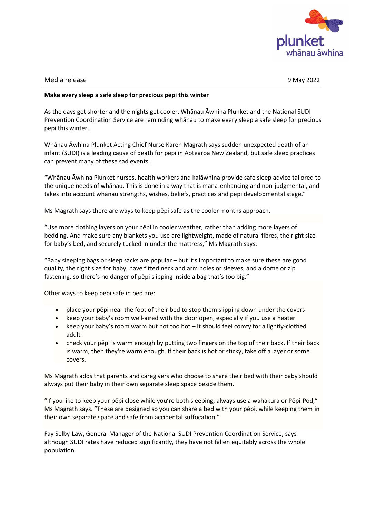

## Media release 9 May 2022

## **Make every sleep a safe sleep for precious pēpi this winter**

As the days get shorter and the nights get cooler, Whānau Āwhina Plunket and the [National SUDI](https://sudinationalcoordination.co.nz/)  [Prevention Coordination Service](https://sudinationalcoordination.co.nz/) are reminding whānau to make every sleep a safe sleep for precious pēpi this winter.

Whānau Āwhina Plunket Acting Chief Nurse Karen Magrath says sudden unexpected death of an infant (SUDI) is a leading cause of death for pēpi in Aotearoa New Zealand, but safe sleep practices can prevent many of these sad events.

"Whānau Āwhina Plunket nurses, health workers and kaiāwhina provide safe sleep advice tailored to the unique needs of whānau. This is done in a way that is mana-enhancing and non-judgmental, and takes into account whānau strengths, wishes, beliefs, practices and pēpi developmental stage."

Ms Magrath says there are ways to keep pēpi safe as the cooler months approach.

"Use more clothing layers on your pēpi in cooler weather, rather than adding more layers of bedding. And make sure any blankets you use are lightweight, made of natural fibres, the right size for baby's bed, and securely tucked in under the mattress," Ms Magrath says.

"Baby sleeping bags or sleep sacks are popular – but it's important to make sure these are good quality, the right size for baby, have fitted neck and arm holes or sleeves, and a dome or zip fastening, so there's no danger of pēpi slipping inside a bag that's too big."

Other ways to keep pēpi safe in bed are:

- place your pēpi near the foot of their bed to stop them slipping down under the covers
- keep your baby's room well-aired with the door open, especially if you use a heater
- keep your baby's room warm but not too hot it should feel comfy for a lightly-clothed adult
- check your pēpi is warm enough by putting two fingers on the top of their back. If their back is warm, then they're warm enough. If their back is hot or sticky, take off a layer or some covers.

Ms Magrath adds that parents and caregivers who choose to share their bed with their baby should always put their baby in their own separate sleep space beside them.

"If you like to keep your pēpi close while you're both sleeping, always use a wahakura or Pēpi-Pod," Ms Magrath says. "These are designed so you can share a bed with your pēpi, while keeping them in their own separate space and safe from accidental suffocation."

Fay Selby-Law, General Manager of the National SUDI Prevention Coordination Service, says although SUDI rates have reduced significantly, they have not fallen equitably across the whole population.